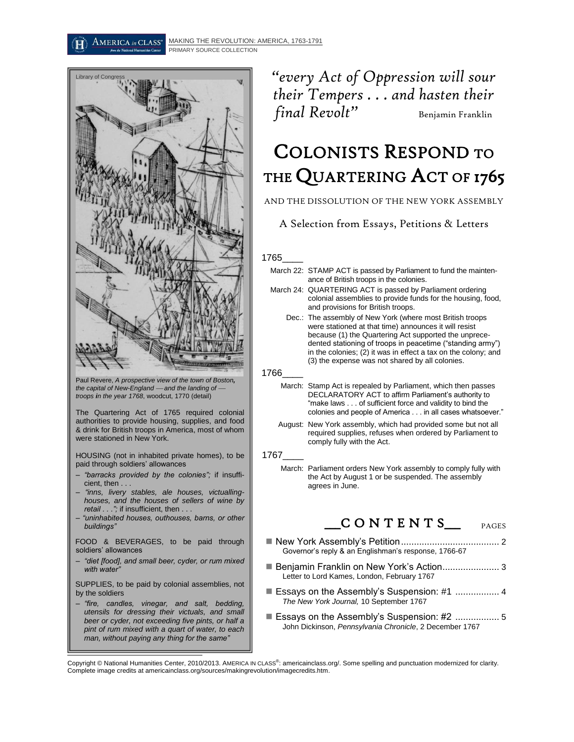

Paul Revere, *A prospective view of the town of Boston, the capital of New-England and the landing of troops in the year 1768*, woodcut, 1770 (detail)

The Quartering Act of 1765 required colonial authorities to provide housing, supplies, and food & drink for British troops in America, most of whom were stationed in New York.

HOUSING (not in inhabited private homes), to be paid through soldiers' allowances

- *"barracks provided by the colonies";* if insufficient, then . . .
- *"inns, livery stables, ale houses, victuallinghouses, and the houses of sellers of wine by retail . . .";* if insufficient, then . . .
- *"uninhabited houses, outhouses, barns, or other buildings"*

FOOD & BEVERAGES, to be paid through soldiers' allowances

– *"diet [food], and small beer, cyder, or rum mixed with water"*

SUPPLIES, to be paid by colonial assemblies, not by the soldiers

*– "fire, candles, vinegar, and salt, bedding, utensils for dressing their victuals, and small beer or cyder, not exceeding five pints, or half a pint of rum mixed with a quart of water, to each man, without paying any thing for the same"*

*"every Act of Oppression will sour their Tempers . . . and hasten their final Revolt*" Benjamin Franklin

# COLONISTS RESPOND TO THE QUARTERING ACT OF 1765

### AND THE DISSOLUTION OF THE NEW YORK ASSEMBLY

A Selection from Essays, Petitions & Letters \*

#### 1765\_\_\_\_

- March 22: STAMP ACT is passed by Parliament to fund the maintenance of British troops in the colonies.
- March 24: QUARTERING ACT is passed by Parliament ordering colonial assemblies to provide funds for the housing, food, and provisions for British troops.
	- Dec.: The assembly of New York (where most British troops were stationed at that time) announces it will resist because (1) the Quartering Act supported the unprecedented stationing of troops in peacetime ("standing army") in the colonies; (2) it was in effect a tax on the colony; and (3) the expense was not shared by all colonies.
- 1766\_\_\_\_
	- March: Stamp Act is repealed by Parliament, which then passes DECLARATORY ACT to affirm Parliament's authority to "make laws . . . of sufficient force and validity to bind the colonies and people of America . . . in all cases whatsoever."
	- August: New York assembly, which had provided some but not all required supplies, refuses when ordered by Parliament to comply fully with the Act.

#### 1767\_\_\_\_

March: Parliament orders New York assembly to comply fully with the Act by August 1 or be suspended. The assembly agrees in June.

# $\overline{C}$  O N T E N T S\_

PAGES

- New York Assembly's Petition...................................... 2 Governor's reply & an Englishman's response, 1766-67
- Benjamin Franklin on New York's Action...................... 3 Letter to Lord Kames, London, February 1767
- Essays on the Assembly's Suspension: #1 ................. 4 *The New York Journal,* 10 September 1767
- Essays on the Assembly's Suspension: #2 .................... 5 John Dickinson, *Pennsylvania Chronicle*, 2 December 1767

Ľ Copyright © National Humanities Center, 2010/2013. AMERICA IN CLASS®: americainclass.org/. Some spelling and punctuation modernized for clarity. Complete image credits at americainclass.org/sources/makingrevolution/imagecredits.htm.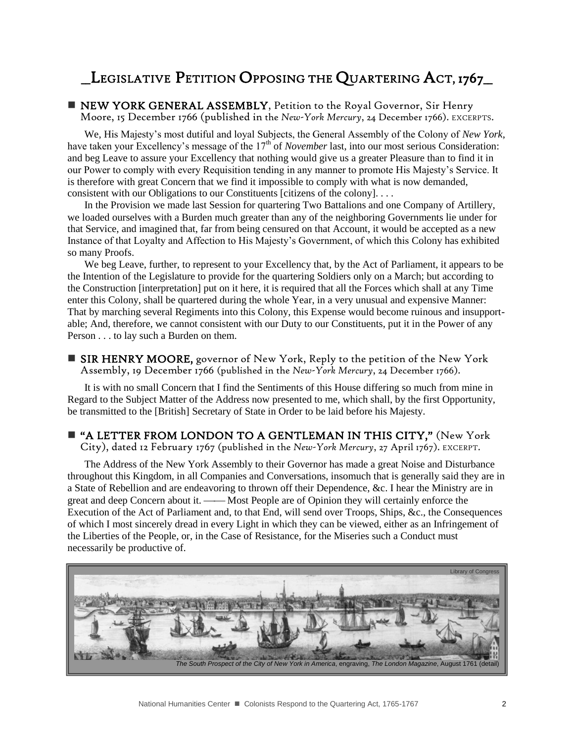# \_\_LEGISLATIVE PETITION OPPOSING THE QUARTERING ACT, 1767\_\_

**NEW YORK GENERAL ASSEMBLY, Petition to the Royal Governor, Sir Henry** Moore, 15 December 1766 (published in the *New-York Mercury*, 24 December 1766). EXCERPTS.

We, His Majesty's most dutiful and loyal Subjects, the General Assembly of the Colony of *New York*, have taken your Excellency's message of the 17<sup>th</sup> of *November* last, into our most serious Consideration: and beg Leave to assure your Excellency that nothing would give us a greater Pleasure than to find it in our Power to comply with every Requisition tending in any manner to promote His Majesty's Service. It is therefore with great Concern that we find it impossible to comply with what is now demanded, consistent with our Obligations to our Constituents [citizens of the colony]. . . .

In the Provision we made last Session for quartering Two Battalions and one Company of Artillery, we loaded ourselves with a Burden much greater than any of the neighboring Governments lie under for that Service, and imagined that, far from being censured on that Account, it would be accepted as a new Instance of that Loyalty and Affection to His Majesty's Government, of which this Colony has exhibited so many Proofs.

We beg Leave, further, to represent to your Excellency that, by the Act of Parliament, it appears to be the Intention of the Legislature to provide for the quartering Soldiers only on a March; but according to the Construction [interpretation] put on it here, it is required that all the Forces which shall at any Time enter this Colony, shall be quartered during the whole Year, in a very unusual and expensive Manner: That by marching several Regiments into this Colony, this Expense would become ruinous and insupportable; And, therefore, we cannot consistent with our Duty to our Constituents, put it in the Power of any Person . . . to lay such a Burden on them.

■ SIR HENRY MOORE, governor of New York, Reply to the petition of the New York Assembly, 19 December 1766 (published in the *New-York Mercury*, 24 December 1766).

It is with no small Concern that I find the Sentiments of this House differing so much from mine in Regard to the Subject Matter of the Address now presented to me, which shall, by the first Opportunity, be transmitted to the [British] Secretary of State in Order to be laid before his Majesty.

### "A LETTER FROM LONDON TO A GENTLEMAN IN THIS CITY," (New York

City), dated 12 February 1767 (published in the *New-York Mercury*, 27 April 1767). EXCERPT.

The Address of the New York Assembly to their Governor has made a great Noise and Disturbance throughout this Kingdom, in all Companies and Conversations, insomuch that is generally said they are in a State of Rebellion and are endeavoring to thrown off their Dependence, &c. I hear the Ministry are in great and deep Concern about it. — Most People are of Opinion they will certainly enforce the Execution of the Act of Parliament and, to that End, will send over Troops, Ships, &c., the Consequences of which I most sincerely dread in every Light in which they can be viewed, either as an Infringement of the Liberties of the People, or, in the Case of Resistance, for the Miseries such a Conduct must necessarily be productive of.

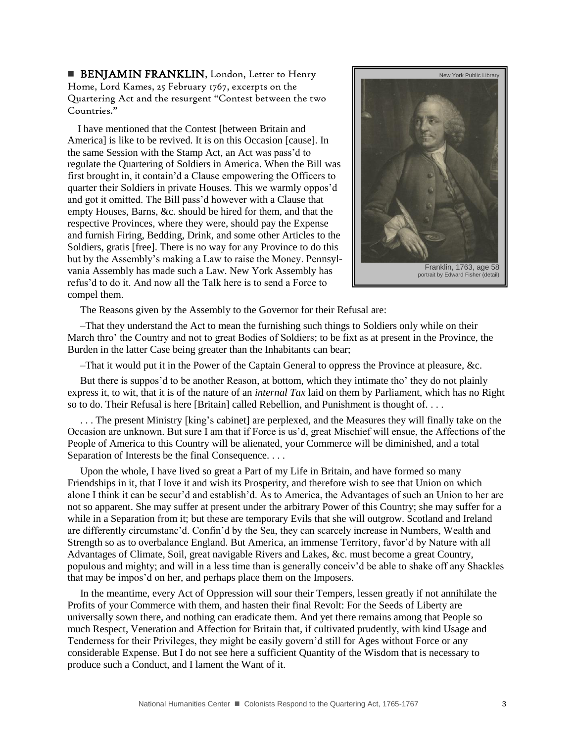**BENJAMIN FRANKLIN, London, Letter to Henry** Home, Lord Kames, 25 February 1767, excerpts on the Quartering Act and the resurgent "Contest between the two Countries."

I have mentioned that the Contest [between Britain and Americal is like to be revived. It is on this Occasion [cause]. In the same Session with the Stamp Act, an Act was pass'd to regulate the Quartering of Soldiers in America. When the Bill was first brought in, it contain'd a Clause empowering the Officers to quarter their Soldiers in private Houses. This we warmly oppos'd and got it omitted. The Bill pass'd however with a Clause that empty Houses, Barns, &c. should be hired for them, and that the respective Provinces, where they were, should pay the Expense and furnish Firing, Bedding, Drink, and some other Articles to the Soldiers, gratis [free]. There is no way for any Province to do this but by the Assembly's making a Law to raise the Money. Pennsylvania Assembly has made such a Law. New York Assembly has refus'd to do it. And now all the Talk here is to send a Force to compel them.



The Reasons given by the Assembly to the Governor for their Refusal are:

–That they understand the Act to mean the furnishing such things to Soldiers only while on their March thro' the Country and not to great Bodies of Soldiers; to be fixt as at present in the Province, the Burden in the latter Case being greater than the Inhabitants can bear;

–That it would put it in the Power of the Captain General to oppress the Province at pleasure, &c.

But there is suppos'd to be another Reason, at bottom, which they intimate tho' they do not plainly express it, to wit, that it is of the nature of an *internal Tax* laid on them by Parliament, which has no Right so to do. Their Refusal is here [Britain] called Rebellion, and Punishment is thought of....

. . . The present Ministry [king's cabinet] are perplexed, and the Measures they will finally take on the Occasion are unknown. But sure I am that if Force is us'd, great Mischief will ensue, the Affections of the People of America to this Country will be alienated, your Commerce will be diminished, and a total Separation of Interests be the final Consequence. . . .

Upon the whole, I have lived so great a Part of my Life in Britain, and have formed so many Friendships in it, that I love it and wish its Prosperity, and therefore wish to see that Union on which alone I think it can be secur'd and establish'd. As to America, the Advantages of such an Union to her are not so apparent. She may suffer at present under the arbitrary Power of this Country; she may suffer for a while in a Separation from it; but these are temporary Evils that she will outgrow. Scotland and Ireland are differently circumstanc'd. Confin'd by the Sea, they can scarcely increase in Numbers, Wealth and Strength so as to overbalance England. But America, an immense Territory, favor'd by Nature with all Advantages of Climate, Soil, great navigable Rivers and Lakes, &c. must become a great Country, populous and mighty; and will in a less time than is generally conceiv'd be able to shake off any Shackles that may be impos'd on her, and perhaps place them on the Imposers.

In the meantime, every Act of Oppression will sour their Tempers, lessen greatly if not annihilate the Profits of your Commerce with them, and hasten their final Revolt: For the Seeds of Liberty are universally sown there, and nothing can eradicate them. And yet there remains among that People so much Respect, Veneration and Affection for Britain that, if cultivated prudently, with kind Usage and Tenderness for their Privileges, they might be easily govern'd still for Ages without Force or any considerable Expense. But I do not see here a sufficient Quantity of the Wisdom that is necessary to produce such a Conduct, and I lament the Want of it.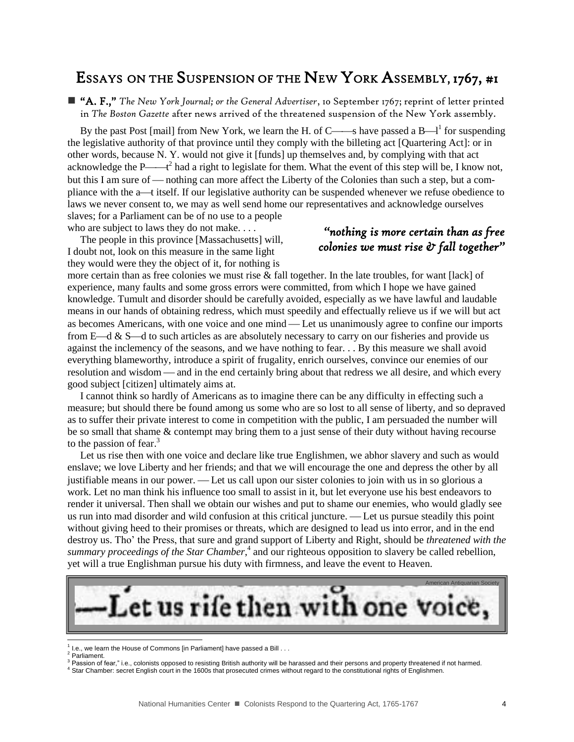# ESSAYS ON THE SUSPENSION OF THE NEW YORK ASSEMBLY, 1767, #1

 "A. F.," *The New York Journal; or the General Advertiser*, 10 September 1767; reprint of letter printed in *The Boston Gazette* after news arrived of the threatened suspension of the New York assembly.

By the past Post [mail] from New York, we learn the H. of C—s have passed a B— $l^1$  for suspending the legislative authority of that province until they comply with the billeting act [Quartering Act]: or in other words, because N. Y. would not give it [funds] up themselves and, by complying with that act acknowledge the P— $t^2$  had a right to legislate for them. What the event of this step will be, I know not, but this I am sure of — nothing can more affect the Liberty of the Colonies than such a step, but a compliance with the a—t itself. If our legislative authority can be suspended whenever we refuse obedience to laws we never consent to, we may as well send home our representatives and acknowledge ourselves slaves; for a Parliament can be of no use to a people

who are subject to laws they do not make. . . . The people in this province [Massachusetts] will, I doubt not, look on this measure in the same light they would were they the object of it, for nothing is

### *"nothing is more certain than as free colonies we must rise & fall together"*

more certain than as free colonies we must rise & fall together. In the late troubles, for want [lack] of experience, many faults and some gross errors were committed, from which I hope we have gained knowledge. Tumult and disorder should be carefully avoided, especially as we have lawful and laudable means in our hands of obtaining redress, which must speedily and effectually relieve us if we will but act as becomes Americans, with one voice and one mind — Let us unanimously agree to confine our imports from  $E-d \& S-d$  to such articles as are absolutely necessary to carry on our fisheries and provide us against the inclemency of the seasons, and we have nothing to fear. . . By this measure we shall avoid everything blameworthy, introduce a spirit of frugality, enrich ourselves, convince our enemies of our resolution and wisdom — and in the end certainly bring about that redress we all desire, and which every good subject [citizen] ultimately aims at.

I cannot think so hardly of Americans as to imagine there can be any difficulty in effecting such a measure; but should there be found among us some who are so lost to all sense of liberty, and so depraved as to suffer their private interest to come in competition with the public, I am persuaded the number will be so small that shame & contempt may bring them to a just sense of their duty without having recourse to the passion of fear.<sup>3</sup>

Let us rise then with one voice and declare like true Englishmen, we abhor slavery and such as would enslave; we love Liberty and her friends; and that we will encourage the one and depress the other by all justifiable means in our power. Let us call upon our sister colonies to join with us in so glorious a work. Let no man think his influence too small to assist in it, but let everyone use his best endeavors to render it universal. Then shall we obtain our wishes and put to shame our enemies, who would gladly see us run into mad disorder and wild confusion at this critical juncture. Let us pursue steadily this point without giving heed to their promises or threats, which are designed to lead us into error, and in the end destroy us. Tho' the Press, that sure and grand support of Liberty and Right, should be *threatened with the*  summary proceedings of the Star Chamber,<sup>4</sup> and our righteous opposition to slavery be called rebellion, yet will a true Englishman pursue his duty with firmness, and leave the event to Heaven.



 $1$  I.e., we learn the House of Commons [in Parliament] have passed a Bill  $\dots$ 

<sup>2</sup> Parliament.

 $3$  Passion of fear," i.e., colonists opposed to resisting British authority will be harassed and their persons and property threatened if not harmed.

<sup>4</sup> Star Chamber: secret English court in the 1600s that prosecuted crimes without regard to the constitutional rights of Englishmen.